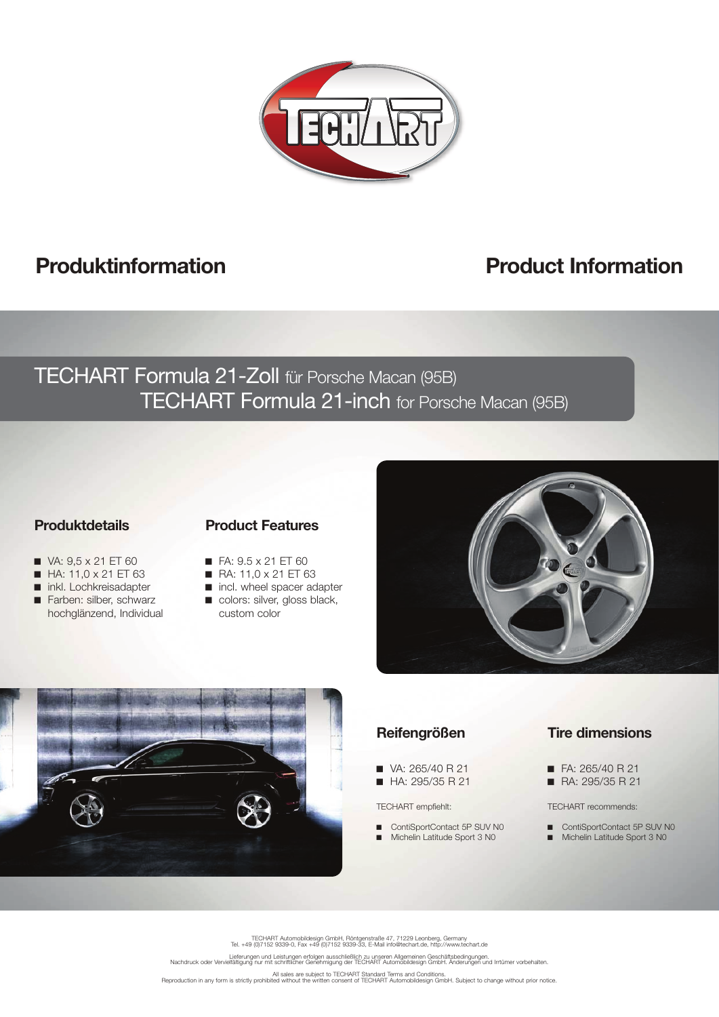

# **Produktinformation Product Information**

## TECHART Formula 21-Zoll für Porsche Macan (95B) TECHART Formula 21-inch for Porsche Macan (95B)

#### **Produktdetails**

## **Product Features**

- VA: 9,5 x 21 ET 60
- $H$  HA: 11,0 x 21 ET 63
- nkl. Lochkreisadapter
- Farben: silber, schwarz Farben: silber, schwarz hochglänzend, Individual
- $\blacksquare$  FA:  $9.5 \times 21$  ET 60
- RA: 11,0 x 21 ET 63
- ncl. wheel spacer adapter colors: silver, gloss black, custom color





## **Reifengrößen**

- $\blacksquare$  VA: 265/40 R 21
- HA: 295/35 R 21

#### TECHART empfiehlt:

■ ContiSportContact 5P SUV N0 ■ Michelin Latitude Sport 3 N0

## **Tire dimensions**

- FA: 265/40 R 21
- RA: 295/35 R 21

#### TECHART recommends:

■ ContiSportContact 5P SUV N0 ■ Michelin Latitude Sport 3 N0

TECHART Automobildesign GmbH, Röntgenstraße 47, 71229 Leonberg, Germany Tel. +49 (0)7152 9339-0, Fax +49 (0)7152 9339-33, E-Mail info@techart.de, http://www.techart.de

.<br>Lieferungen und Leistungen erfolgen ausschließlich zu unseren Allgemeinen Geschäftsbedingungen.<br>Nachdruck oder Vervielfältigung nur mit schriftlicher Genehmigung der TECHART Automobildesign GmbH. Änderungen und Irrtümer

All sales are subject to TECHART Standard Terms and Conditions.<br>Reproduction in any form is strictly prohibited without the written consent of TECHART Automobildesign GmbH. Subject to change without prior notice.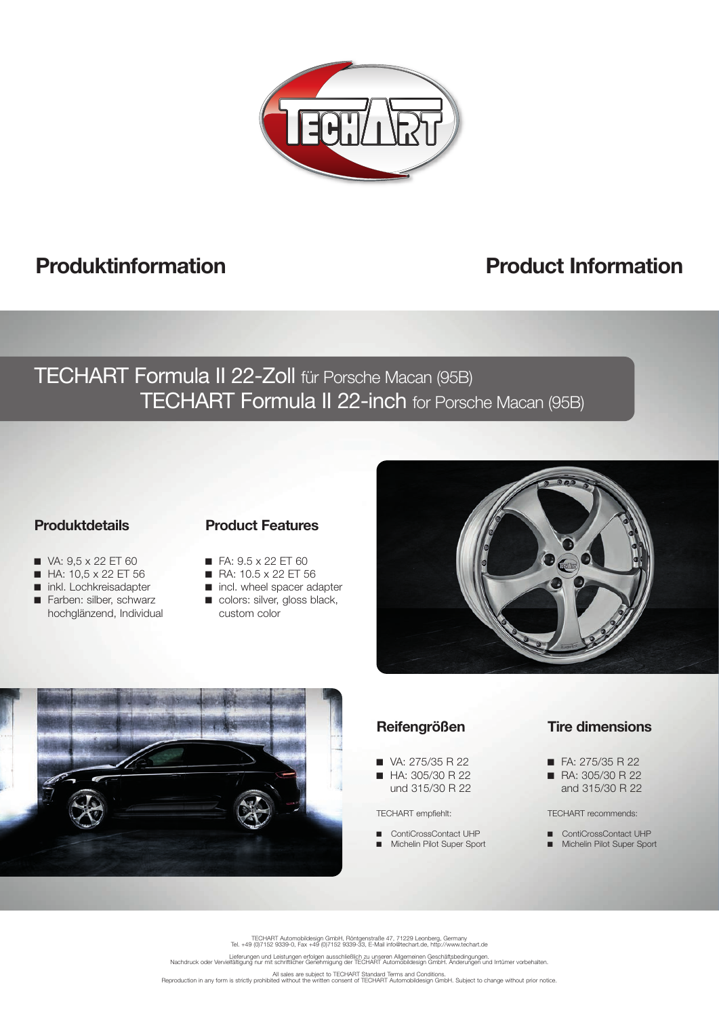

# **Produktinformation Product Information**

# TECHART Formula II 22-Zoll für Porsche Macan (95B) TECHART Formula II 22-inch for Porsche Macan (95B)

## **Produktdetails**

 $\blacksquare$  VA: 9,5 x 22 ET 60  $H$ A: 10,5 x 22 ET 56 nkl. Lochkreisadapter Farben: silber, schwarz hochglänzend, Individual

## **Product Features**

- $\blacksquare$  FA:  $9.5 \times 22$  ET 60
	- RA: 10.5 x 22 ET 56
	- ncl. wheel spacer adapter
	- colors: silver, gloss black, custom color





## **Reifengrößen**

- VA: 275/35 R 22 ■ HA: 305/30 R 22
- und 315/30 R 22

#### TECHART empfiehlt:

ContiCrossContact UHP Michelin Pilot Super Sport

#### **Tire dimensions**

- $\blacksquare$  FA: 275/35 R 22
- RA: 305/30 R 22 and 315/30 R 22
- TECHART recommends:
- ContiCrossContact UHP **ID** Michelin Pilot Super Sport

TECHART Automobildesign GmbH, Röntgenstraße 47, 71229 Leonberg, Germany Tel. +49 (0)7152 9339-0, Fax +49 (0)7152 9339-33, E-Mail info@techart.de, http://www.techart.de

.<br>Lieferungen und Leistungen erfolgen ausschließlich zu unseren Allgemeinen Geschäftsbedingungen.<br>Nachdruck oder Vervielfältigung nur mit schriftlicher Genehmigung der TECHART Automobildesign GmbH. Änderungen und Irrtümer

All sales are subject to TECHART Standard Terms and Conditions.<br>Reproduction in any form is strictly prohibited without the written consent of TECHART Automobildesign GmbH. Subject to change without prior notice.